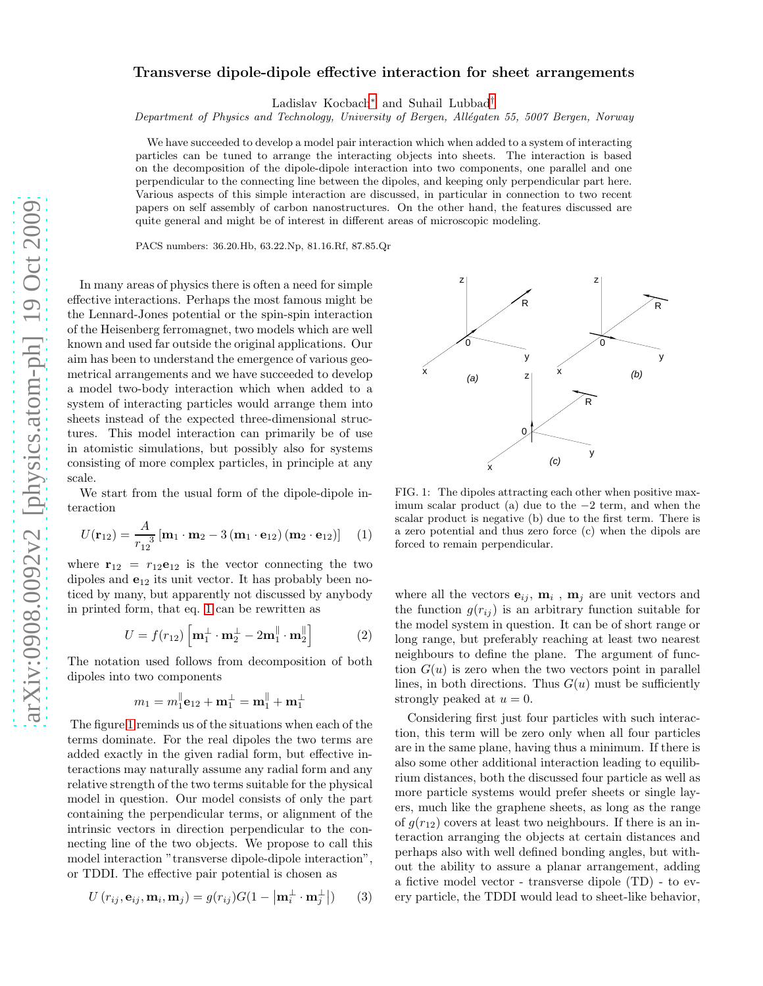## Transverse dipole-dipole effective interaction for sheet arrangements

Ladislav Kocbach[∗](#page-2-0) and Suhail Lubbad[†](#page-2-1)

Department of Physics and Technology, University of Bergen, Allégaten 55, 5007 Bergen, Norway

We have succeeded to develop a model pair interaction which when added to a system of interacting particles can be tuned to arrange the interacting objects into sheets. The interaction is based on the decomposition of the dipole-dipole interaction into two components, one parallel and one perpendicular to the connecting line between the dipoles, and keeping only perpendicular part here. Various aspects of this simple interaction are discussed, in particular in connection to two recent papers on self assembly of carbon nanostructures. On the other hand, the features discussed are quite general and might be of interest in different areas of microscopic modeling.

PACS numbers: 36.20.Hb, 63.22.Np, 81.16.Rf, 87.85.Qr

In many areas of physics there is often a need for simple effective interactions. Perhaps the most famous might be the Lennard-Jones potential or the spin-spin interaction of the Heisenberg ferromagnet, two models which are well known and used far outside the original applications. Our aim has been to understand the emergence of various geometrical arrangements and we have succeeded to develop a model two-body interaction which when added to a system of interacting particles would arrange them into sheets instead of the expected three-dimensional structures. This model interaction can primarily be of use in atomistic simulations, but possibly also for systems consisting of more complex particles, in principle at any scale.

We start from the usual form of the dipole-dipole interaction

<span id="page-0-0"></span>
$$
U(\mathbf{r}_{12}) = \frac{A}{r_{12}^{3}} [\mathbf{m}_{1} \cdot \mathbf{m}_{2} - 3 (\mathbf{m}_{1} \cdot \mathbf{e}_{12}) (\mathbf{m}_{2} \cdot \mathbf{e}_{12})] \tag{1}
$$

where  $\mathbf{r}_{12} = r_{12}\mathbf{e}_{12}$  is the vector connecting the two dipoles and  $e_{12}$  its unit vector. It has probably been noticed by many, but apparently not discussed by anybody in printed form, that eq. [1](#page-0-0) can be rewritten as

$$
U = f(r_{12}) \left[ \mathbf{m}_1^{\perp} \cdot \mathbf{m}_2^{\perp} - 2 \mathbf{m}_1^{\parallel} \cdot \mathbf{m}_2^{\parallel} \right]
$$
 (2)

The notation used follows from decomposition of both dipoles into two components

$$
m_1=m_1^{\parallel}\textbf{e}_{12}+\textbf{m}_1^{\perp}=\textbf{m}_1^{\parallel}+\textbf{m}_1^{\perp}
$$

The figure [1](#page-0-1) reminds us of the situations when each of the terms dominate. For the real dipoles the two terms are added exactly in the given radial form, but effective interactions may naturally assume any radial form and any relative strength of the two terms suitable for the physical model in question. Our model consists of only the part containing the perpendicular terms, or alignment of the intrinsic vectors in direction perpendicular to the connecting line of the two objects. We propose to call this model interaction "transverse dipole-dipole interaction", or TDDI. The effective pair potential is chosen as

<span id="page-0-2"></span>
$$
U(r_{ij}, \mathbf{e}_{ij}, \mathbf{m}_i, \mathbf{m}_j) = g(r_{ij})G(1 - \left|\mathbf{m}_i^{\perp} \cdot \mathbf{m}_j^{\perp}\right|) \qquad (3)
$$



<span id="page-0-1"></span>FIG. 1: The dipoles attracting each other when positive maximum scalar product (a) due to the −2 term, and when the scalar product is negative (b) due to the first term. There is a zero potential and thus zero force (c) when the dipols are forced to remain perpendicular.

where all the vectors  $\mathbf{e}_{ij}$ ,  $\mathbf{m}_i$ ,  $\mathbf{m}_j$  are unit vectors and the function  $g(r_{ij})$  is an arbitrary function suitable for the model system in question. It can be of short range or long range, but preferably reaching at least two nearest neighbours to define the plane. The argument of function  $G(u)$  is zero when the two vectors point in parallel lines, in both directions. Thus  $G(u)$  must be sufficiently strongly peaked at  $u = 0$ .

Considering first just four particles with such interaction, this term will be zero only when all four particles are in the same plane, having thus a minimum. If there is also some other additional interaction leading to equilibrium distances, both the discussed four particle as well as more particle systems would prefer sheets or single layers, much like the graphene sheets, as long as the range of  $g(r_{12})$  covers at least two neighbours. If there is an interaction arranging the objects at certain distances and perhaps also with well defined bonding angles, but without the ability to assure a planar arrangement, adding a fictive model vector - transverse dipole (TD) - to every particle, the TDDI would lead to sheet-like behavior,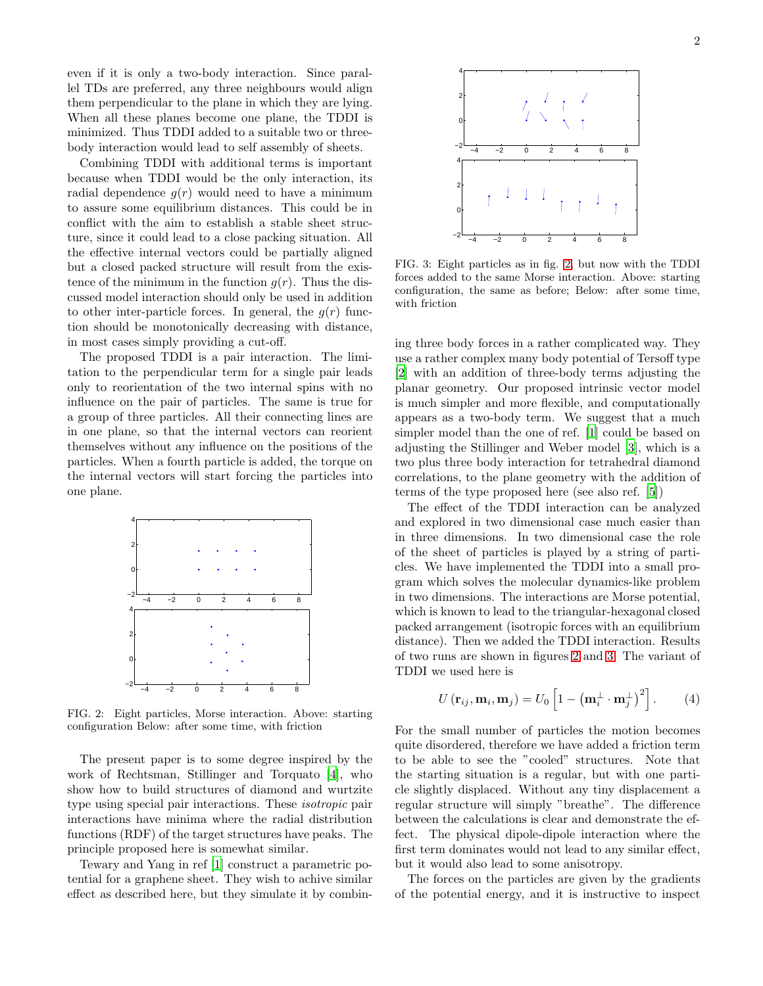even if it is only a two-body interaction. Since parallel TDs are preferred, any three neighbours would align them perpendicular to the plane in which they are lying. When all these planes become one plane, the TDDI is minimized. Thus TDDI added to a suitable two or threebody interaction would lead to self assembly of sheets.

Combining TDDI with additional terms is important because when TDDI would be the only interaction, its radial dependence  $q(r)$  would need to have a minimum to assure some equilibrium distances. This could be in conflict with the aim to establish a stable sheet structure, since it could lead to a close packing situation. All the effective internal vectors could be partially aligned but a closed packed structure will result from the existence of the minimum in the function  $g(r)$ . Thus the discussed model interaction should only be used in addition to other inter-particle forces. In general, the  $q(r)$  function should be monotonically decreasing with distance, in most cases simply providing a cut-off.

The proposed TDDI is a pair interaction. The limitation to the perpendicular term for a single pair leads only to reorientation of the two internal spins with no influence on the pair of particles. The same is true for a group of three particles. All their connecting lines are in one plane, so that the internal vectors can reorient themselves without any influence on the positions of the particles. When a fourth particle is added, the torque on the internal vectors will start forcing the particles into one plane.



<span id="page-1-0"></span>FIG. 2: Eight particles, Morse interaction. Above: starting configuration Below: after some time, with friction

The present paper is to some degree inspired by the work of Rechtsman, Stillinger and Torquato [\[4\]](#page-2-2), who show how to build structures of diamond and wurtzite type using special pair interactions. These isotropic pair interactions have minima where the radial distribution functions (RDF) of the target structures have peaks. The principle proposed here is somewhat similar.

Tewary and Yang in ref [\[1](#page-2-3)] construct a parametric potential for a graphene sheet. They wish to achive similar effect as described here, but they simulate it by combin-



<span id="page-1-1"></span>FIG. 3: Eight particles as in fig. [2,](#page-1-0) but now with the TDDI forces added to the same Morse interaction. Above: starting configuration, the same as before; Below: after some time, with friction

ing three body forces in a rather complicated way. They use a rather complex many body potential of Tersoff type [\[2\]](#page-2-4) with an addition of three-body terms adjusting the planar geometry. Our proposed intrinsic vector model is much simpler and more flexible, and computationally appears as a two-body term. We suggest that a much simpler model than the one of ref. [\[1\]](#page-2-3) could be based on adjusting the Stillinger and Weber model [\[3](#page-2-5)], which is a two plus three body interaction for tetrahedral diamond correlations, to the plane geometry with the addition of terms of the type proposed here (see also ref. [\[5\]](#page-2-6))

The effect of the TDDI interaction can be analyzed and explored in two dimensional case much easier than in three dimensions. In two dimensional case the role of the sheet of particles is played by a string of particles. We have implemented the TDDI into a small program which solves the molecular dynamics-like problem in two dimensions. The interactions are Morse potential, which is known to lead to the triangular-hexagonal closed packed arrangement (isotropic forces with an equilibrium distance). Then we added the TDDI interaction. Results of two runs are shown in figures [2](#page-1-0) and [3.](#page-1-1) The variant of TDDI we used here is

$$
U(\mathbf{r}_{ij}, \mathbf{m}_i, \mathbf{m}_j) = U_0 \left[ 1 - \left( \mathbf{m}_i^{\perp} \cdot \mathbf{m}_j^{\perp} \right)^2 \right]. \tag{4}
$$

For the small number of particles the motion becomes quite disordered, therefore we have added a friction term to be able to see the "cooled" structures. Note that the starting situation is a regular, but with one particle slightly displaced. Without any tiny displacement a regular structure will simply "breathe". The difference between the calculations is clear and demonstrate the effect. The physical dipole-dipole interaction where the first term dominates would not lead to any similar effect, but it would also lead to some anisotropy.

The forces on the particles are given by the gradients of the potential energy, and it is instructive to inspect